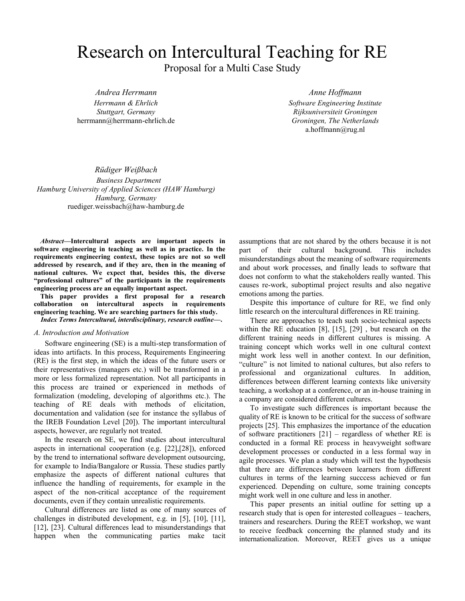# Research on Intercultural Teaching for RE

Proposal for a Multi Case Study

*Andrea Herrmann Herrmann & Ehrlich Stuttgart, Germany* herrmann@herrmann-ehrlich.de

*Anne Hoffmann Software Engineering Institute Rijksuniversiteit Groningen Groningen, The Netherlands* a.hoffmann@rug.nl

*Rüdiger Weißbach Business Department Hamburg University of Applied Sciences (HAW Hamburg) Hamburg, Germany*  ruediger.weissbach@haw-hamburg.de

*Abstract***—Intercultural aspects are important aspects in software engineering in teaching as well as in practice. In the requirements engineering context, these topics are not so well addressed by research, and if they are, then in the meaning of national cultures. We expect that, besides this, the diverse "professional cultures" of the participants in the requirements engineering process are an equally important aspect.** 

**This paper provides a first proposal for a research collaboration on intercultural aspects in requirements engineering teaching. We are searching partners for this study.** 

# *Index Terms Intercultural, interdisciplinary, research outline***—.**

# *A. Introduction and Motivation*

Software engineering (SE) is a multi-step transformation of ideas into artifacts. In this process, Requirements Engineering (RE) is the first step, in which the ideas of the future users or their representatives (managers etc.) will be transformed in a more or less formalized representation. Not all participants in this process are trained or experienced in methods of formalization (modeling, developing of algorithms etc.). The teaching of RE deals with methods of elicitation, documentation and validation (see for instance the syllabus of the IREB Foundation Level [\[20\]\)](#page-4-0). The important intercultural aspects, however, are regularly not treated.

In the research on SE, we find studies about intercultural aspects in international cooperation (e.g. [\[22\],](#page-4-1)[\[28\]\)](#page-4-2), enforced by the trend to international software development outsourcing, for example to India/Bangalore or Russia. These studies partly emphasize the aspects of different national cultures that influence the handling of requirements, for example in the aspect of the non-critical acceptance of the requirement documents, even if they contain unrealistic requirements.

Cultural differences are listed as one of many sources of challenges in distributed development, e.g. in [\[5\],](#page-3-0) [\[10\],](#page-4-3) [\[11\],](#page-4-4) [\[12\],](#page-4-5) [\[23\].](#page-4-6) Cultural differences lead to misunderstandings that happen when the communicating parties make tacit assumptions that are not shared by the others because it is not part of their cultural background. This includes misunderstandings about the meaning of software requirements and about work processes, and finally leads to software that does not conform to what the stakeholders really wanted. This causes re-work, suboptimal project results and also negative emotions among the parties.

Despite this importance of culture for RE, we find only little research on the intercultural differences in RE training.

There are approaches to teach such socio-technical aspects within the RE education [\[8\],](#page-4-7) [\[15\],](#page-4-8) [\[29\]](#page-4-9) , but research on the different training needs in different cultures is missing. A training concept which works well in one cultural context might work less well in another context. In our definition, "culture" is not limited to national cultures, but also refers to professional and organizational cultures. In addition, differences between different learning contexts like university teaching, a workshop at a conference, or an in-house training in a company are considered different cultures.

To investigate such differences is important because the quality of RE is known to be critical for the success of software projects [\[25\].](#page-4-10) This emphasizes the importance of the education of software practitioners  $[21]$  – regardless of whether RE is conducted in a formal RE process in heavyweight software development processes or conducted in a less formal way in agile processes. We plan a study which will test the hypothesis that there are differences between learners from different cultures in terms of the learning succcess achieved or fun experienced. Depending on culture, some training concepts might work well in one culture and less in another.

This paper presents an initial outline for setting up a research study that is open for interested colleagues – teachers, trainers and researchers. During the REET workshop, we want to receive feedback concerning the planned study and its internationalization. Moreover, REET gives us a unique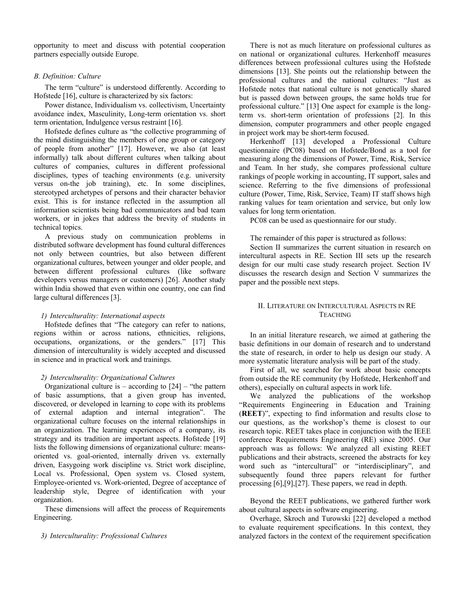opportunity to meet and discuss with potential cooperation partners especially outside Europe.

# *B. Definition: Culture*

The term "culture" is understood differently. According to Hofstede [\[16\],](#page-4-12) culture is characterized by six factors:

Power distance, Individualism vs. collectivism, Uncertainty avoidance index, Masculinity, Long-term orientation vs. short term orientation, Indulgence versus restrain[t \[16\].](#page-4-12)

Hofstede defines culture as "the collective programming of the mind distinguishing the members of one group or category of people from another" [\[17\].](#page-4-13) However, we also (at least informally) talk about different cultures when talking about cultures of companies, cultures in different professional disciplines, types of teaching environments (e.g. university versus on-the job training), etc. In some disciplines, stereotyped archetypes of persons and their character behavior exist. This is for instance reflected in the assumption all information scientists being bad communicators and bad team workers, or in jokes that address the brevity of students in technical topics.

A previous study on communication problems in distributed software development has found cultural differences not only between countries, but also between different organizational cultures, between younger and older people, and between different professional cultures (like software developers versus managers or customers) [\[26\].](#page-4-14) Another study within India showed that even within one country, one can find large cultural difference[s \[3\].](#page-3-1)

## *1) Interculturality: International aspects*

Hofstede defines that "The category can refer to nations, regions within or across nations, ethnicities, religions, occupations, organizations, or the genders." [\[17\]](#page-4-13) This dimension of interculturality is widely accepted and discussed in science and in practical work and trainings.

# *2) Interculturality: Organizational Cultures*

Organizational culture is  $-$  according to  $[24]$  – "the pattern of basic assumptions, that a given group has invented, discovered, or developed in learning to cope with its problems of external adaption and internal integration". The organizational culture focuses on the internal relationships in an organization. The learning experiences of a company, its strategy and its tradition are important aspects. Hofstede [19] lists the following dimensions of organizational culture: meansoriented vs. goal-oriented, internally driven vs. externally driven, Easygoing work discipline vs. Strict work discipline, Local vs. Professional, Open system vs. Closed system, Employee-oriented vs. Work-oriented, Degree of acceptance of leadership style, Degree of identification with your organization.

These dimensions will affect the process of Requirements Engineering.

#### *3) Interculturality: Professional Cultures*

There is not as much literature on professional cultures as on national or organizational cultures. Herkenhoff measures differences between professional cultures using the Hofstede dimensions [\[13\].](#page-4-17) She points out the relationship between the professional cultures and the national cultures: "Just as Hofstede notes that national culture is not genetically shared but is passed down between groups, the same holds true for professional culture." [\[13\]](#page-4-17) One aspect for example is the longterm vs. short-term orientation of professions [\[2\].](#page-3-2) In this dimension, computer programmers and other people engaged in project work may be short-term focused.

Herkenhoff [\[13\]](#page-4-17) developed a Professional Culture questionnaire (PC08) based on Hofstede/Bond as a tool for measuring along the dimensions of Power, Time, Risk, Service and Team. In her study, she compares professional culture rankings of people working in accounting, IT support, sales and science. Referring to the five dimensions of professional culture (Power, Time, Risk, Service, Team) IT staff shows high ranking values for team orientation and service, but only low values for long term orientation.

PC08 can be used as questionnaire for our study.

The remainder of this paper is structured as follows:

Section II summarizes the current situation in research on intercultural aspects in RE. Section III sets up the research design for our multi case study research project. Section IV discusses the research design and Section V summarizes the paper and the possible next steps.

# II. LITERATURE ON INTERCULTURAL ASPECTS IN RE TEACHING

In an initial literature research, we aimed at gathering the basic definitions in our domain of research and to understand the state of research, in order to help us design our study. A more systematic literature analysis will be part of the study.

First of all, we searched for work about basic concepts from outside the RE community (by Hofstede, Herkenhoff and others), especially on cultural aspects in work life.

We analyzed the publications of the workshop "Requirements Engineering in Education and Training (**REET**)", expecting to find information and results close to our questions, as the workshop's theme is closest to our research topic. REET takes place in conjunction with the IEEE conference Requirements Engineering (RE) since 2005. Our approach was as follows: We analyzed all existing REET publications and their abstracts, screened the abstracts for key word such as "intercultural" or "interdisciplinary", and subsequently found three papers relevant for further processing [\[6\]](#page-3-3)[,\[9\]](#page-4-18)[,\[27\].](#page-4-19) These papers, we read in depth.

Beyond the REET publications, we gathered further work about cultural aspects in software engineering.

Overhage, Skroch and Turowski [\[22\]](#page-4-1) developed a method to evaluate requirement specifications. In this context, they analyzed factors in the context of the requirement specification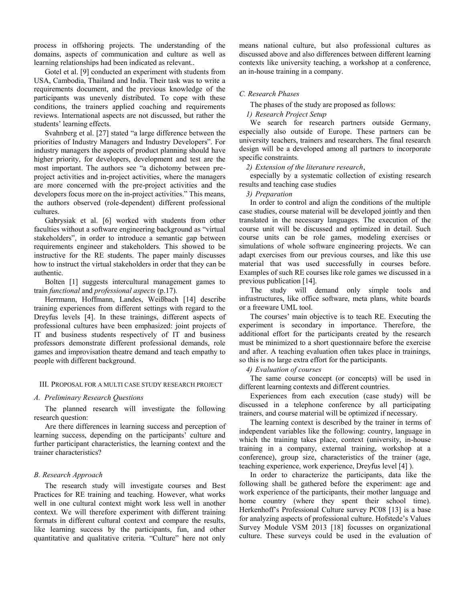process in offshoring projects. The understanding of the domains, aspects of communication and culture as well as learning relationships had been indicated as relevant..

Gotel et al[. \[9\]](#page-4-18) conducted an experiment with students from USA, Cambodia, Thailand and India. Their task was to write a requirements document, and the previous knowledge of the participants was unevenly distributed. To cope with these conditions, the trainers applied coaching and requirements reviews. International aspects are not discussed, but rather the students' learning effects.

Svahnberg et al. [\[27\]](#page-4-19) stated "a large difference between the priorities of Industry Managers and Industry Developers". For industry managers the aspects of product planning should have higher priority, for developers, development and test are the most important. The authors see "a dichotomy between preproject activities and in-project activities, where the managers are more concerned with the pre-project activities and the developers focus more on the in-project activities." This means, the authors observed (role-dependent) different professional cultures.

Gabrysiak et al. [\[6\]](#page-3-3) worked with students from other faculties without a software engineering background as "virtual stakeholders", in order to introduce a semantic gap between requirements engineer and stakeholders. This showed to be instructive for the RE students. The paper mainly discusses how to instruct the virtual stakeholders in order that they can be authentic.

Bolten [\[1\]](#page-3-4) suggests intercultural management games to train *functional* and *professional aspects* (p.17)*.* 

Herrmann, Hoffmann, Landes, Weißbach [\[14\]](#page-4-20) describe training experiences from different settings with regard to the Dreyfus levels [\[4\].](#page-3-5) In these trainings, different aspects of professional cultures have been emphasized: joint projects of IT and business students respectively of IT and business professors demonstrate different professional demands, role games and improvisation theatre demand and teach empathy to people with different background.

# III. PROPOSAL FOR A MULTI CASE STUDY RESEARCH PROJECT

#### *A. Preliminary Research Questions*

The planned research will investigate the following research question:

Are there differences in learning success and perception of learning success, depending on the participants' culture and further participant characteristics, the learning context and the trainer characteristics?

# *B. Research Approach*

The research study will investigate courses and Best Practices for RE training and teaching. However, what works well in one cultural context might work less well in another context. We will therefore experiment with different training formats in different cultural context and compare the results, like learning success by the participants, fun, and other quantitative and qualitative criteria. "Culture" here not only

means national culture, but also professional cultures as discussed above and also differences between different learning contexts like university teaching, a workshop at a conference, an in-house training in a company.

## *C. Research Phases*

The phases of the study are proposed as follows:

*1) Research Project Setup*

We search for research partners outside Germany, especially also outside of Europe. These partners can be university teachers, trainers and researchers. The final research design will be a developed among all partners to incorporate specific constraints.

*2) Extension of the literature research*,

especially by a systematic collection of existing research results and teaching case studies

*3) Preparation* 

In order to control and align the conditions of the multiple case studies, course material will be developed jointly and then translated in the necessary languages. The execution of the course unit will be discussed and optimized in detail. Such course units can be role games, modeling exercises or simulations of whole software engineering projects. We can adapt exercises from our previous courses, and like this use material that was used successfully in courses before. Examples of such RE courses like role games we discussed in a previous publicatio[n \[14\].](#page-4-20)

The study will demand only simple tools and infrastructures, like office software, meta plans, white boards or a freeware UML tool.

The courses' main objective is to teach RE. Executing the experiment is secondary in importance. Therefore, the additional effort for the participants created by the research must be minimized to a short questionnaire before the exercise and after. A teaching evaluation often takes place in trainings, so this is no large extra effort for the participants.

*4) Evaluation of courses*

The same course concept (or concepts) will be used in different learning contexts and different countries.

Experiences from each execution (case study) will be discussed in a telephone conference by all participating trainers, and course material will be optimized if necessary.

The learning context is described by the trainer in terms of independent variables like the following: country, language in which the training takes place, context (university, in-house training in a company, external training, workshop at a conference), group size, characteristics of the trainer (age, teaching experience, work experience, Dreyfus level [\[4\]](#page-3-5) ).

In order to characterize the participants, data like the following shall be gathered before the experiment: age and work experience of the participants, their mother language and home country (where they spent their school time). Herkenhoff's Professional Culture survey PC08 [\[13\]](#page-4-17) is a base for analyzing aspects of professional culture. Hofstede's Values Survey Module VSM 2013 [\[18\]](#page-4-21) focusses on organizational culture. These surveys could be used in the evaluation of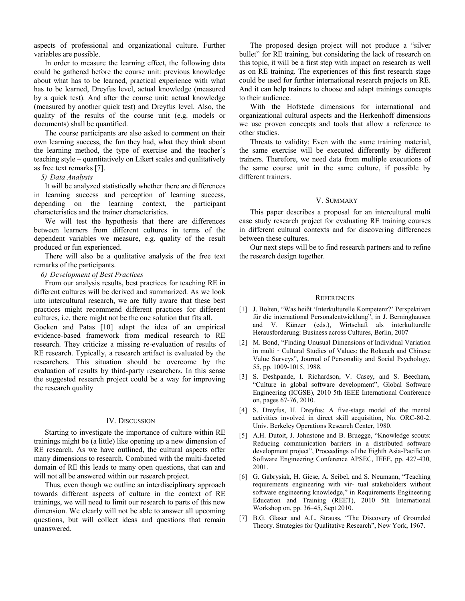aspects of professional and organizational culture. Further variables are possible.

In order to measure the learning effect, the following data could be gathered before the course unit: previous knowledge about what has to be learned, practical experience with what has to be learned, Dreyfus level, actual knowledge (measured by a quick test). And after the course unit: actual knowledge (measured by another quick test) and Dreyfus level. Also, the quality of the results of the course unit (e.g. models or documents) shall be quantified.

The course participants are also asked to comment on their own learning success, the fun they had, what they think about the learning method, the type of exercise and the teacher´s teaching style – quantitatively on Likert scales and qualitatively as free text remark[s \[7\].](#page-3-6)

# *5) Data Analysis*

It will be analyzed statistically whether there are differences in learning success and perception of learning success, depending on the learning context, the participant characteristics and the trainer characteristics.

We will test the hypothesis that there are differences between learners from different cultures in terms of the dependent variables we measure, e.g. quality of the result produced or fun experienced.

There will also be a qualitative analysis of the free text remarks of the participants.

# *6) Development of Best Practices*

From our analysis results, best practices for teaching RE in different cultures will be derived and summarized. As we look into intercultural research, we are fully aware that these best practices might recommend different practices for different cultures, i.e. there might not be the one solution that fits all.

Goeken and Patas [\[10\]](#page-4-3) adapt the idea of an empirical evidence-based framework from medical research to RE research. They criticize a missing re-evaluation of results of RE research. Typically, a research artifact is evaluated by the researchers. This situation should be overcome by the evaluation of results by third-party researchers. In this sense the suggested research project could be a way for improving the research quality.

#### IV. DISCUSSION

Starting to investigate the importance of culture within RE trainings might be (a little) like opening up a new dimension of RE research. As we have outlined, the cultural aspects offer many dimensions to research. Combined with the multi-faceted domain of RE this leads to many open questions, that can and will not all be answered within our research project.

Thus, even though we outline an interdisciplinary approach towards different aspects of culture in the context of RE trainings, we will need to limit our research to parts of this new dimension. We clearly will not be able to answer all upcoming questions, but will collect ideas and questions that remain unanswered.

The proposed design project will not produce a "silver bullet" for RE training, but considering the lack of research on this topic, it will be a first step with impact on research as well as on RE training. The experiences of this first research stage could be used for further international research projects on RE. And it can help trainers to choose and adapt trainings concepts to their audience.

With the Hofstede dimensions for international and organizational cultural aspects and the Herkenhoff dimensions we use proven concepts and tools that allow a reference to other studies.

Threats to validity: Even with the same training material, the same exercise will be executed differently by different trainers. Therefore, we need data from multiple executions of the same course unit in the same culture, if possible by different trainers.

# V. SUMMARY

This paper describes a proposal for an intercultural multi case study research project for evaluating RE training courses in different cultural contexts and for discovering differences between these cultures.

Our next steps will be to find research partners and to refine the research design together.

#### **REFERENCES**

- <span id="page-3-4"></span>[1] J. Bolten, "Was heißt 'Interkulturelle Kompetenz?' Perspektiven für die international Personalentwicklung", in J. Berninghausen and V. Künzer (eds.), Wirtschaft als interkulturelle Herausforderung: Business across Cultures, Berlin, 2007
- <span id="page-3-2"></span>[2] M. Bond, "Finding Unusual Dimensions of Individual Variation in multi - Cultural Studies of Values: the Rokeach and Chinese Value Surveys", Journal of Personality and Social Psychology, 55, pp. 1009-1015, 1988.
- <span id="page-3-1"></span>[3] S. Deshpande, I. Richardson, V. Casey, and S. Beecham, "Culture in global software development", Global Software Engineering (ICGSE), 2010 5th IEEE International Conference on, pages 67-76, 2010.
- <span id="page-3-5"></span>[4] S. Dreyfus, H. Dreyfus: A five-stage model of the mental activities involved in direct skill acquisition, No. ORC-80-2. Univ. Berkeley Operations Research Center, 1980.
- <span id="page-3-0"></span>[5] A.H. Dutoit, J. Johnstone and B. Bruegge, "Knowledge scouts: Reducing communication barriers in a distributed software development project", Proceedings of the Eighth Asia-Pacific on Software Engineering Conference APSEC, IEEE, pp. 427-430, 2001.
- <span id="page-3-3"></span>[6] G. Gabrysiak, H. Giese, A. Seibel, and S. Neumann, "Teaching requirements engineering with vir- tual stakeholders without software engineering knowledge," in Requirements Engineering Education and Training (REET), 2010 5th International Workshop on, pp. 36–45, Sept 2010.
- <span id="page-3-6"></span>[7] B.G. Glaser and A.L. Strauss, "The Discovery of Grounded Theory. Strategies for Qualitative Research", New York, 1967.